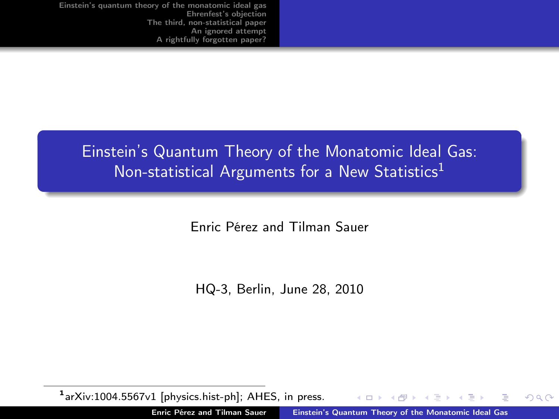# Einstein's Quantum Theory of the Monatomic Ideal Gas: Non-statistical Arguments for a New Statistics<sup>1</sup>

Enric Pérez and Tilman Sauer

<span id="page-0-0"></span>HQ-3, Berlin, June 28, 2010

1arXiv:1004.5567v1 [physics.hist-ph]; AHES, in press.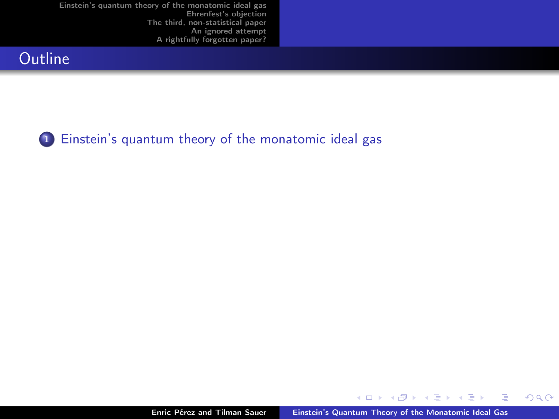## **Outline**



<sup>1</sup> [Einstein's quantum theory of the monatomic ideal gas](#page-2-0)

4日 ト  $\overline{A}$ 有 ă

∍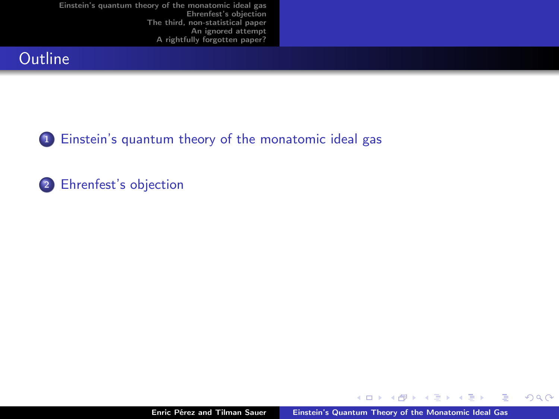## **Outline**



<sup>1</sup> [Einstein's quantum theory of the monatomic ideal gas](#page-2-0)

### 2 [Ehrenfest's objection](#page-9-0)

4 0 8

 $2Q$ 

<span id="page-2-0"></span>∍

∍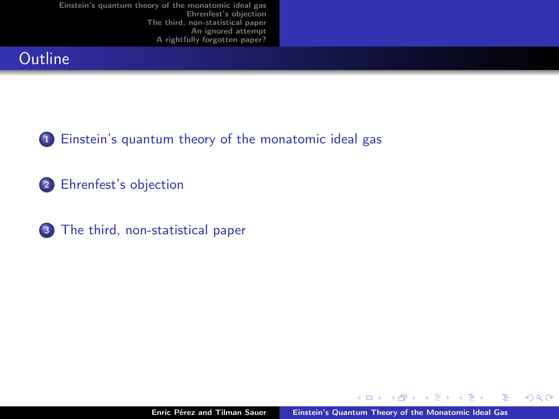## **Outline**



2 [Ehrenfest's objection](#page-9-0)

<sup>3</sup> [The third, non-statistical paper](#page-14-0)

4.0.3

 $2Q$ 

Ξ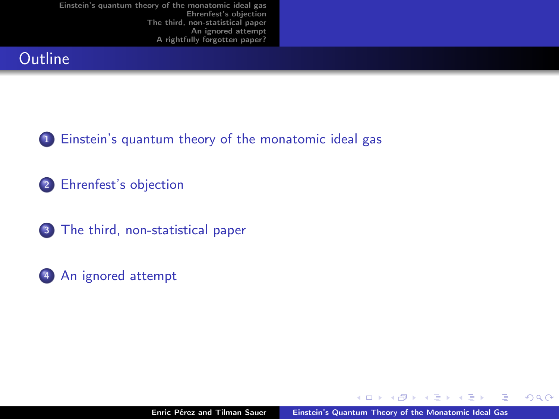## **Outline**



2 [Ehrenfest's objection](#page-9-0)

3 [The third, non-statistical paper](#page-14-0)

<sup>4</sup> [An ignored attempt](#page-29-0)

4 0 1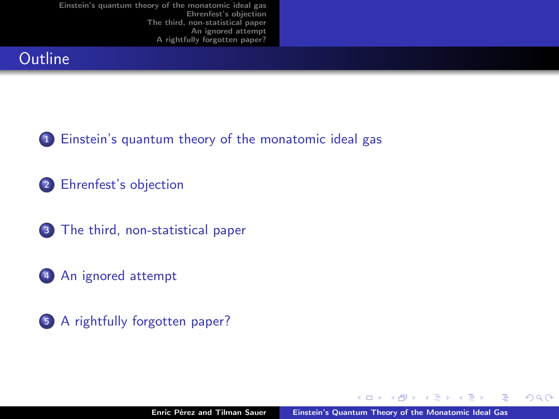## **Outline**



<sup>2</sup> [Ehrenfest's objection](#page-9-0)

<sup>3</sup> [The third, non-statistical paper](#page-14-0)

<sup>4</sup> [An ignored attempt](#page-29-0)



4 0 1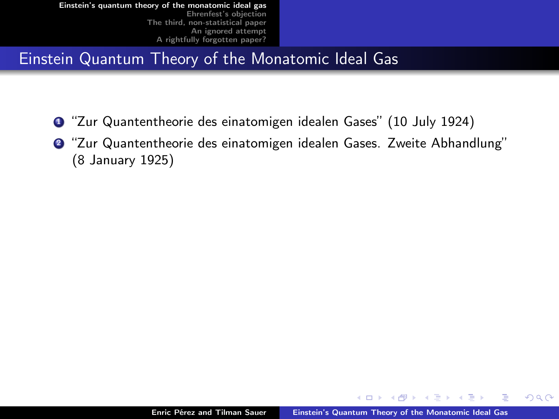## Einstein Quantum Theory of the Monatomic Ideal Gas

- **1** "Zur Quantentheorie des einatomigen idealen Gases" (10 July 1924)
- <sup>2</sup> "Zur Quantentheorie des einatomigen idealen Gases. Zweite Abhandlung" (8 January 1925)

 $\blacksquare$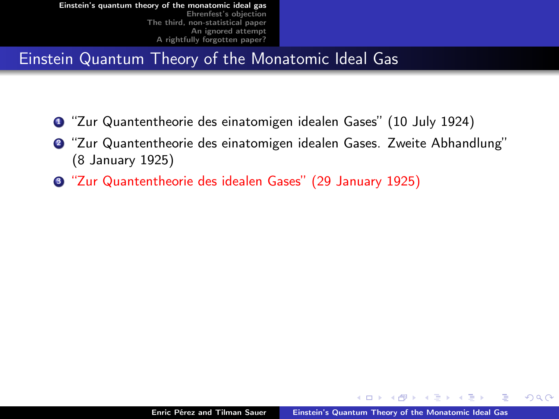## Einstein Quantum Theory of the Monatomic Ideal Gas

- <sup>1</sup> "Zur Quantentheorie des einatomigen idealen Gases" (10 July 1924)
- <sup>2</sup> "Zur Quantentheorie des einatomigen idealen Gases. Zweite Abhandlung" (8 January 1925)
- <sup>3</sup> "Zur Quantentheorie des idealen Gases" (29 January 1925)

 $\blacksquare$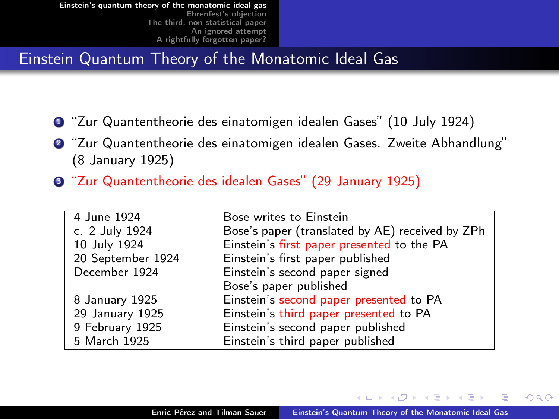## Einstein Quantum Theory of the Monatomic Ideal Gas

- **1** "Zur Quantentheorie des einatomigen idealen Gases" (10 July 1924)
- <sup>2</sup> "Zur Quantentheorie des einatomigen idealen Gases. Zweite Abhandlung" (8 January 1925)
- <sup>3</sup> "Zur Quantentheorie des idealen Gases" (29 January 1925)

| 4 June 1924       | Bose writes to Einstein                         |
|-------------------|-------------------------------------------------|
| c. 2 July 1924    | Bose's paper (translated by AE) received by ZPh |
| 10 July 1924      | Einstein's first paper presented to the PA      |
| 20 September 1924 | Einstein's first paper published                |
| December 1924     | Einstein's second paper signed                  |
|                   | Bose's paper published                          |
| 8 January 1925    | Einstein's second paper presented to PA         |
| 29 January 1925   | Einstein's third paper presented to PA          |
| 9 February 1925   | Einstein's second paper published               |
| 5 March 1925      | Einstein's third paper published                |
|                   |                                                 |

つへへ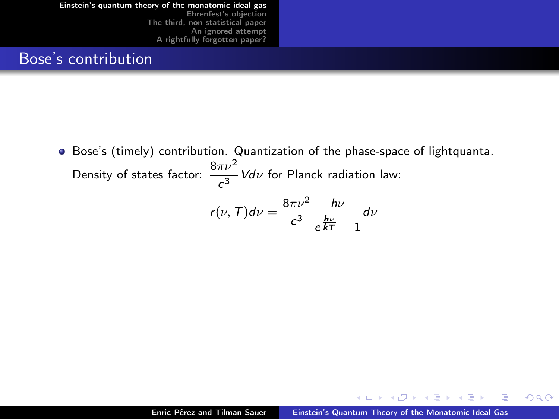### Bose's contribution

Bose's (timely) contribution. Quantization of the phase-space of lightquanta. Density of states factor:  $\frac{8\pi\nu^2}{c^3}$ Vd $\nu$  for Planck radiation law:

$$
r(\nu, T)d\nu = \frac{8\pi\nu^2}{c^3} \frac{h\nu}{e^{\frac{h\nu}{kT}} - 1} d\nu
$$

<span id="page-9-0"></span>4 0 1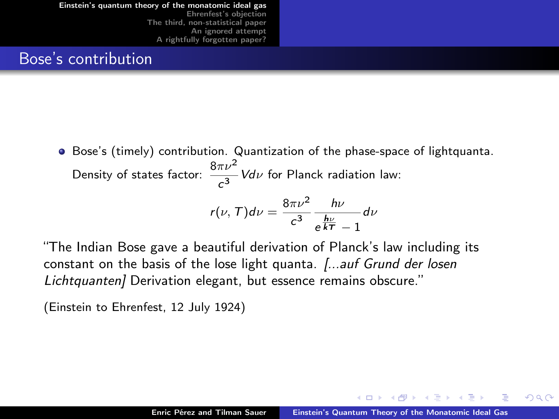#### Bose's contribution

Bose's (timely) contribution. Quantization of the phase-space of lightquanta. Density of states factor:  $\frac{8\pi\nu^2}{c^3}$ Vd $\nu$  for Planck radiation law:

$$
r(\nu, T)d\nu = \frac{8\pi\nu^2}{c^3} \frac{h\nu}{e^{\frac{h\nu}{kT}} - 1} d\nu
$$

"The Indian Bose gave a beautiful derivation of Planck's law including its constant on the basis of the lose light quanta.  $\int \ldots$  auf Grund der losen Lichtquanten] Derivation elegant, but essence remains obscure."

(Einstein to Ehrenfest, 12 July 1924)

つへへ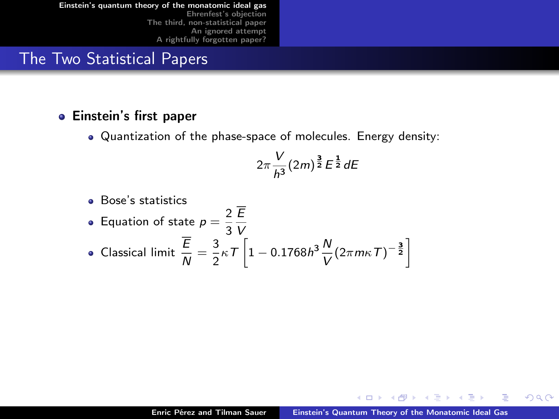## The Two Statistical Papers

#### Einstein's first paper

Quantization of the phase-space of molecules. Energy density:

$$
2\pi\frac{V}{h^3}(2m)^{\frac{3}{2}}E^{\frac{1}{2}}dE
$$

\n- Bose's statistics
\n- Equation of state 
$$
p = \frac{2}{3} \frac{\overline{E}}{V}
$$
\n- Classical limit  $\frac{\overline{E}}{N} = \frac{3}{2} \kappa T \left[ 1 - 0.1768 h^3 \frac{N}{V} (2 \pi m \kappa T)^{-\frac{3}{2}} \right]$
\n

4 0 1

 $2Q$ 

∍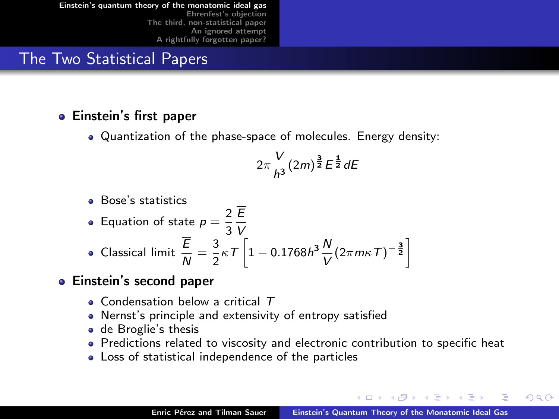## The Two Statistical Papers

#### Einstein's first paper

Quantization of the phase-space of molecules. Energy density:

$$
2\pi\frac{V}{h^3}(2m)^{\frac{3}{2}}E^{\frac{1}{2}}dE
$$

Bose's statistics

• Equation of state 
$$
p = \frac{2}{3} \frac{E}{V}
$$

• Classical limit 
$$
\frac{\overline{E}}{N} = \frac{3}{2} \kappa T \left[ 1 - 0.1768 h^3 \frac{N}{V} (2 \pi m \kappa T)^{-\frac{3}{2}} \right]
$$

#### Einstein's second paper

- $\bullet$  Condensation below a critical  $\tau$
- Nernst's principle and extensivity of entropy satisfied
- de Broglie's thesis
- Predictions related to viscosity and electronic contribution to specific heat
- Loss of statistical independence of the particles

つへへ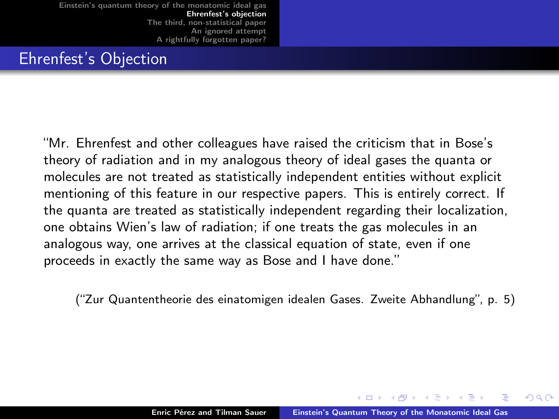## Ehrenfest's Objection

"Mr. Ehrenfest and other colleagues have raised the criticism that in Bose's theory of radiation and in my analogous theory of ideal gases the quanta or molecules are not treated as statistically independent entities without explicit mentioning of this feature in our respective papers. This is entirely correct. If the quanta are treated as statistically independent regarding their localization, one obtains Wien's law of radiation; if one treats the gas molecules in an analogous way, one arrives at the classical equation of state, even if one proceeds in exactly the same way as Bose and I have done."

<span id="page-13-0"></span>("Zur Quantentheorie des einatomigen idealen Gases. Zweite Abhandlung", p. 5)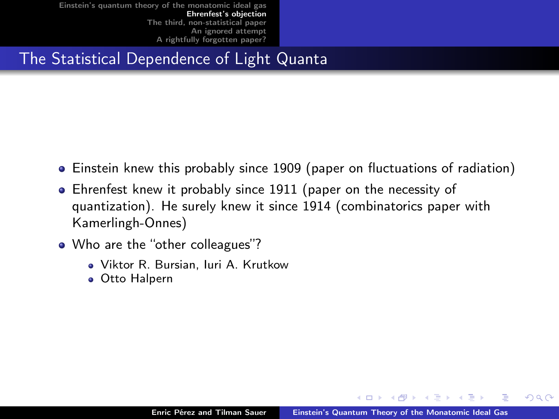## The Statistical Dependence of Light Quanta

- Einstein knew this probably since 1909 (paper on fluctuations of radiation)
- Ehrenfest knew it probably since 1911 (paper on the necessity of quantization). He surely knew it since 1914 (combinatorics paper with Kamerlingh-Onnes)
- <span id="page-14-0"></span>• Who are the "other colleagues"?
	- Viktor R. Bursian, Iuri A. Krutkow
	- Otto Halpern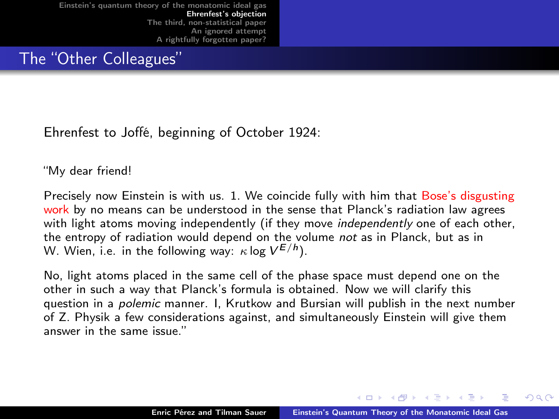The "Other Colleagues"

Ehrenfest to Joffé, beginning of October 1924:

"My dear friend!

Precisely now Einstein is with us. 1. We coincide fully with him that Bose's disgusting work by no means can be understood in the sense that Planck's radiation law agrees with light atoms moving independently (if they move *independently* one of each other, the entropy of radiation would depend on the volume not as in Planck, but as in W. Wien, i.e. in the following way:  $\kappa$  log  $V^{E/h}$ ).

No, light atoms placed in the same cell of the phase space must depend one on the other in such a way that Planck's formula is obtained. Now we will clarify this question in a polemic manner. I, Krutkow and Bursian will publish in the next number of Z. Physik a few considerations against, and simultaneously Einstein will give them answer in the same issue."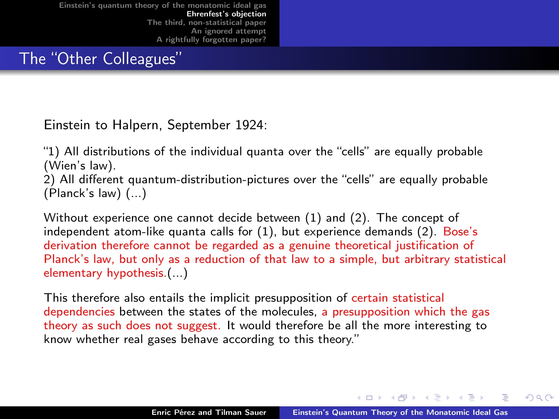The "Other Colleagues"

Einstein to Halpern, September 1924:

"1) All distributions of the individual quanta over the "cells" are equally probable (Wien's law).

2) All different quantum-distribution-pictures over the "cells" are equally probable (Planck's law) (...)

Without experience one cannot decide between (1) and (2). The concept of independent atom-like quanta calls for (1), but experience demands (2). Bose's derivation therefore cannot be regarded as a genuine theoretical justification of Planck's law, but only as a reduction of that law to a simple, but arbitrary statistical elementary hypothesis.(...)

This therefore also entails the implicit presupposition of certain statistical dependencies between the states of the molecules, a presupposition which the gas theory as such does not suggest. It would therefore be all the more interesting to know whether real gases behave according to this theory."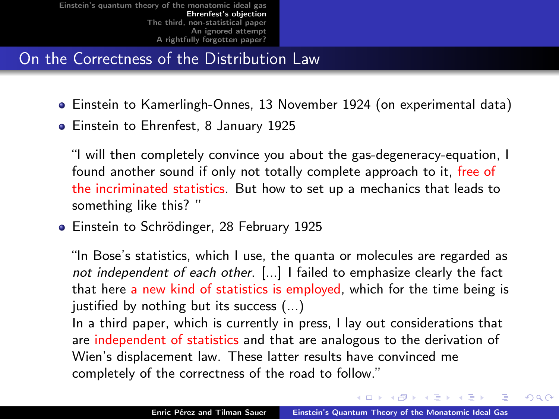On the Correctness of the Distribution Law

- Einstein to Kamerlingh-Onnes, 13 November 1924 (on experimental data)
- **•** Einstein to Ehrenfest, 8 January 1925

"I will then completely convince you about the gas-degeneracy-equation, I found another sound if only not totally complete approach to it, free of the incriminated statistics. But how to set up a mechanics that leads to something like this? "

**•** Einstein to Schrödinger, 28 February 1925

"In Bose's statistics, which I use, the quanta or molecules are regarded as not independent of each other. [...] I failed to emphasize clearly the fact that here a new kind of statistics is employed, which for the time being is justified by nothing but its success (...)

In a third paper, which is currently in press, I lay out considerations that are independent of statistics and that are analogous to the derivation of Wien's displacement law. These latter results have convinced me completely of the correctness of the road to follow."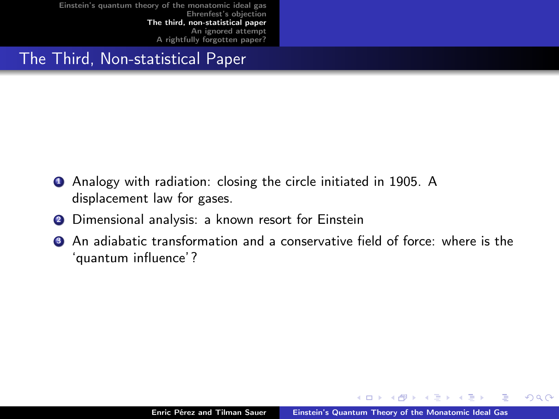## The Third, Non-statistical Paper

- **4** Analogy with radiation: closing the circle initiated in 1905. A displacement law for gases.
- <sup>2</sup> Dimensional analysis: a known resort for Einstein
- <sup>3</sup> An adiabatic transformation and a conservative field of force: where is the 'quantum influence'?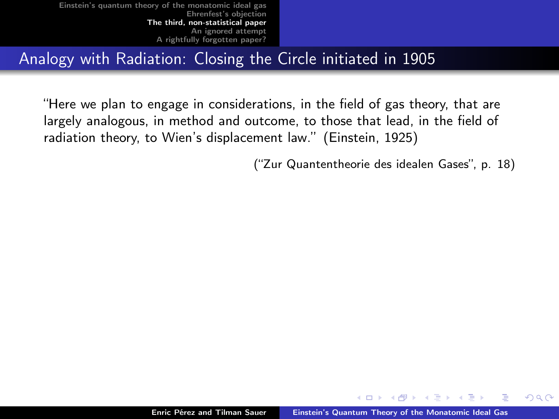Analogy with Radiation: Closing the Circle initiated in 1905

"Here we plan to engage in considerations, in the field of gas theory, that are largely analogous, in method and outcome, to those that lead, in the field of radiation theory, to Wien's displacement law." (Einstein, 1925)

("Zur Quantentheorie des idealen Gases", p. 18)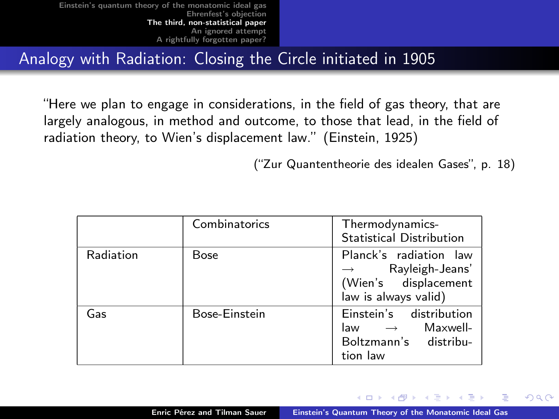Analogy with Radiation: Closing the Circle initiated in 1905

"Here we plan to engage in considerations, in the field of gas theory, that are largely analogous, in method and outcome, to those that lead, in the field of radiation theory, to Wien's displacement law." (Einstein, 1925)

("Zur Quantentheorie des idealen Gases", p. 18)

つへへ

|           | Combinatorics | Thermodynamics-<br><b>Statistical Distribution</b>                                            |
|-----------|---------------|-----------------------------------------------------------------------------------------------|
| Radiation | <b>Bose</b>   | Planck's radiation law<br>Rayleigh-Jeans'<br>(Wien's displacement<br>law is always valid)     |
| Gas       | Bose-Einstein | Einstein's distribution<br>Maxwell-<br>law $\rightarrow$<br>Boltzmann's distribu-<br>tion law |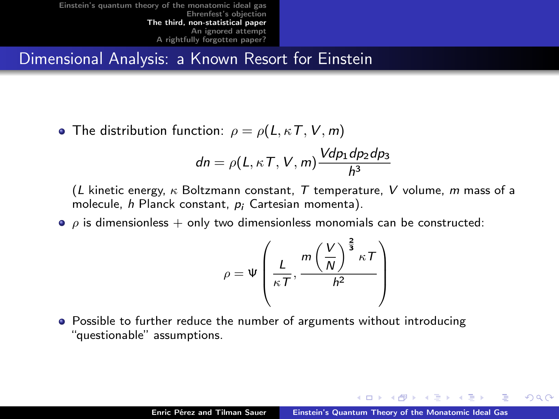Dimensional Analysis: a Known Resort for Einstein

• The distribution function:  $\rho = \rho(L, \kappa T, V, m)$ 

$$
dn = \rho(L, \kappa T, V, m) \frac{V dp_1 dp_2 dp_3}{h^3}
$$

(L kinetic energy,  $\kappa$  Boltzmann constant, T temperature, V volume, m mass of a molecule, h Planck constant, p<sub>i</sub> Cartesian momenta).

 $\bullet$   $\rho$  is dimensionless + only two dimensionless monomials can be constructed:

$$
\rho = \Psi\left(\frac{L}{\kappa T}, \frac{m\left(\frac{V}{N}\right)^{\frac{2}{3}}\kappa T}{h^2}\right)
$$

• Possible to further reduce the number of arguments without introducing "questionable" assumptions.

<span id="page-21-0"></span>つひへ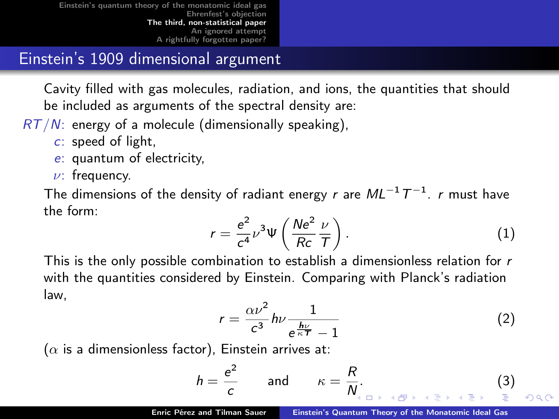### Einstein's 1909 dimensional argument

Cavity filled with gas molecules, radiation, and ions, the quantities that should be included as arguments of the spectral density are:

- $RT/N$ : energy of a molecule (dimensionally speaking),
	- c: speed of light,
	- e: quantum of electricity,
	- $\nu$ : frequency.

The dimensions of the density of radiant energy  $\it r$  are  $\it ML^{-1}\,T^{-1}$ .  $\it r$  must have the form:

$$
r = \frac{e^2}{c^4} \nu^3 \Psi \left( \frac{Ne^2}{Rc} \frac{\nu}{T} \right).
$$
 (1)

This is the only possible combination to establish a dimensionless relation for  $r$ with the quantities considered by Einstein. Comparing with Planck's radiation law,

$$
r = \frac{\alpha \nu^2}{c^3} h \nu \frac{1}{e^{\frac{h\nu}{\kappa T}} - 1} \tag{2}
$$

( $\alpha$  is a dimensionless factor), Einstein arrives at:

$$
h = \frac{e^2}{c} \quad \text{and} \quad \kappa = \frac{R}{N}.
$$
 (3)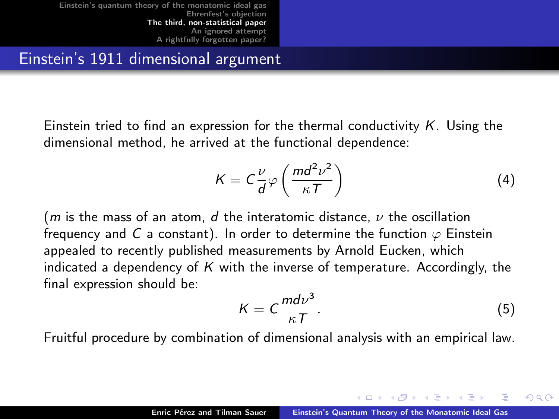Einstein's 1911 dimensional argument

Einstein tried to find an expression for the thermal conductivity  $K$ . Using the dimensional method, he arrived at the functional dependence:

$$
K = C \frac{\nu}{d} \varphi \left( \frac{md^2 \nu^2}{\kappa T} \right)
$$
 (4)

(*m* is the mass of an atom, *d* the interatomic distance,  $\nu$  the oscillation frequency and C a constant). In order to determine the function  $\varphi$  Einstein appealed to recently published measurements by Arnold Eucken, which indicated a dependency of  $K$  with the inverse of temperature. Accordingly, the final expression should be:

$$
K = C \frac{m d \nu^3}{\kappa T}.
$$
 (5)

 $\Omega$ 

Fruitful procedure by combination of dimensional analysis with an empirical law.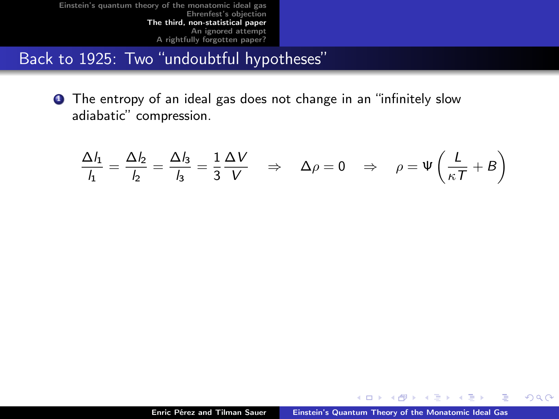Back to 1925: Two "undoubtful hypotheses"

**1** The entropy of an ideal gas does not change in an "infinitely slow adiabatic" compression.

$$
\frac{\Delta l_1}{l_1} = \frac{\Delta l_2}{l_2} = \frac{\Delta l_3}{l_3} = \frac{1}{3} \frac{\Delta V}{V} \Rightarrow \Delta \rho = 0 \Rightarrow \rho = \Psi \left( \frac{L}{\kappa T} + B \right)
$$

4 0 1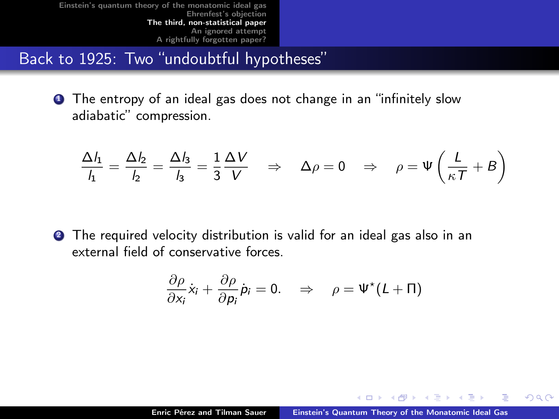Back to 1925: Two "undoubtful hypotheses"

**1** The entropy of an ideal gas does not change in an "infinitely slow adiabatic" compression.

$$
\frac{\Delta l_1}{l_1} = \frac{\Delta l_2}{l_2} = \frac{\Delta l_3}{l_3} = \frac{1}{3} \frac{\Delta V}{V} \Rightarrow \Delta \rho = 0 \Rightarrow \rho = \Psi \left( \frac{L}{\kappa T} + B \right)
$$

**2** The required velocity distribution is valid for an ideal gas also in an external field of conservative forces.

$$
\frac{\partial \rho}{\partial x_i} \dot{x}_i + \frac{\partial \rho}{\partial p_i} \dot{p}_i = 0. \Rightarrow \rho = \Psi^*(L + \Pi)
$$

<span id="page-25-0"></span> $\blacksquare$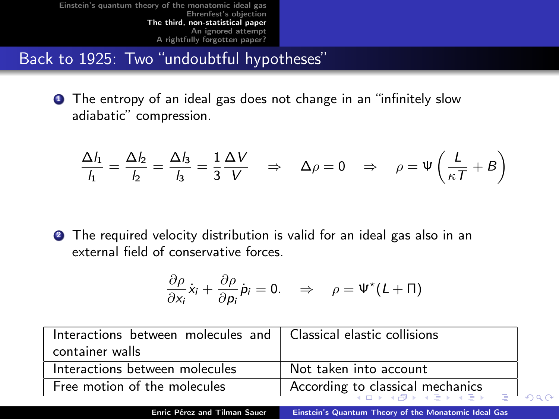Back to 1925: Two "undoubtful hypotheses"

**1** The entropy of an ideal gas does not change in an "infinitely slow adiabatic" compression.

$$
\frac{\Delta l_1}{l_1} = \frac{\Delta l_2}{l_2} = \frac{\Delta l_3}{l_3} = \frac{1}{3} \frac{\Delta V}{V} \Rightarrow \Delta \rho = 0 \Rightarrow \rho = \Psi \left( \frac{L}{\kappa T} + B \right)
$$

**2** The required velocity distribution is valid for an ideal gas also in an external field of conservative forces.

<span id="page-26-0"></span>
$$
\frac{\partial \rho}{\partial x_i}\dot{x}_i + \frac{\partial \rho}{\partial p_i}\dot{p}_i = 0. \Rightarrow \rho = \Psi^{\star}(L + \Pi)
$$

| Interactions between molecules and $\parallel$ Classical elastic collisions |                                  |  |
|-----------------------------------------------------------------------------|----------------------------------|--|
| container walls                                                             |                                  |  |
| Interactions between molecules                                              | Not taken into account           |  |
| Free motion of the molecules                                                | According to classical mechanics |  |
|                                                                             |                                  |  |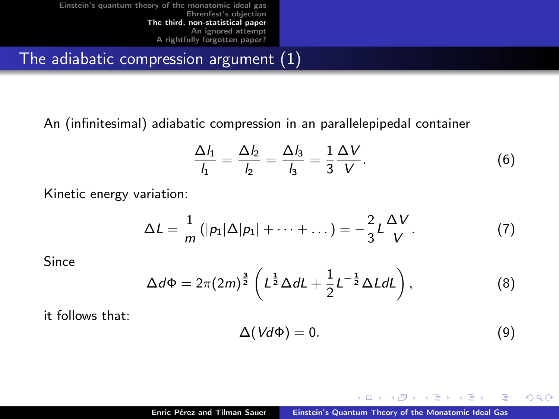The adiabatic compression argument (1)

An (infinitesimal) adiabatic compression in an parallelepipedal container

$$
\frac{\Delta l_1}{l_1} = \frac{\Delta l_2}{l_2} = \frac{\Delta l_3}{l_3} = \frac{1}{3} \frac{\Delta V}{V}.
$$
\n
$$
\tag{6}
$$

Kinetic energy variation:

$$
\Delta L = \frac{1}{m} \left( |p_1| \Delta |p_1| + \cdots + \ldots \right) = -\frac{2}{3} L \frac{\Delta V}{V}.
$$
 (7)

Since

$$
\Delta d\Phi = 2\pi (2m)^{\frac{3}{2}} \left( L^{\frac{1}{2}} \Delta dL + \frac{1}{2} L^{-\frac{1}{2}} \Delta L dL \right), \tag{8}
$$

it follows that:

$$
\Delta(Vd\Phi)=0.\t\t(9)
$$

<span id="page-27-0"></span>4 0 1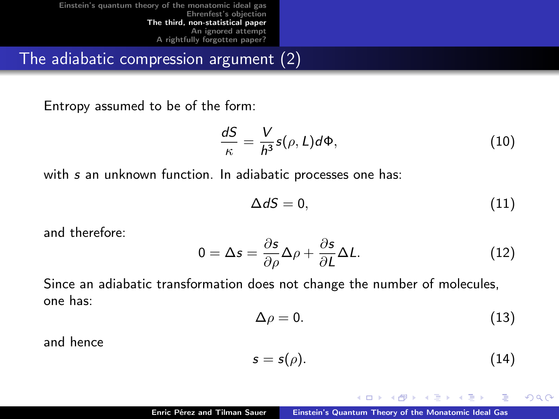The adiabatic compression argument (2)

Entropy assumed to be of the form:

$$
\frac{dS}{\kappa} = \frac{V}{h^3} s(\rho, L) d\Phi, \tag{10}
$$

with s an unknown function. In adiabatic processes one has:

$$
\Delta dS = 0,\tag{11}
$$

and therefore:

$$
0 = \Delta s = \frac{\partial s}{\partial \rho} \Delta \rho + \frac{\partial s}{\partial L} \Delta L.
$$
 (12)

Since an adiabatic transformation does not change the number of molecules, one has:

$$
\Delta \rho = 0. \tag{13}
$$

and hence

$$
s = s(\rho). \tag{14}
$$

<span id="page-28-0"></span> $+$   $+$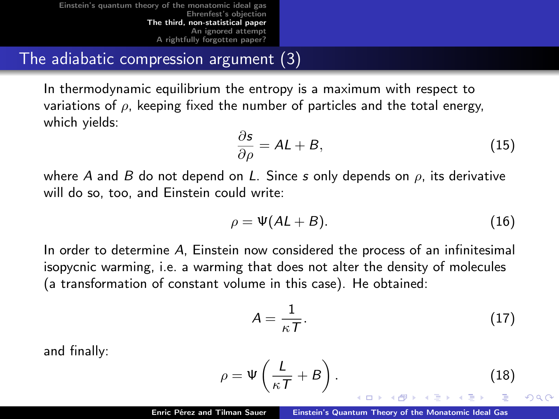The adiabatic compression argument (3)

In thermodynamic equilibrium the entropy is a maximum with respect to variations of  $\rho$ , keeping fixed the number of particles and the total energy, which yields:

$$
\frac{\partial s}{\partial \rho} = AL + B,\tag{15}
$$

where A and B do not depend on L. Since s only depends on  $\rho$ , its derivative will do so, too, and Einstein could write:

$$
\rho = \Psi(AL + B). \tag{16}
$$

In order to determine A, Einstein now considered the process of an infinitesimal isopycnic warming, i.e. a warming that does not alter the density of molecules (a transformation of constant volume in this case). He obtained:

<span id="page-29-0"></span>
$$
A = \frac{1}{\kappa T}.
$$
 (17)

and finally:

$$
\rho = \Psi\left(\frac{L}{\kappa T} + B\right). \tag{18}
$$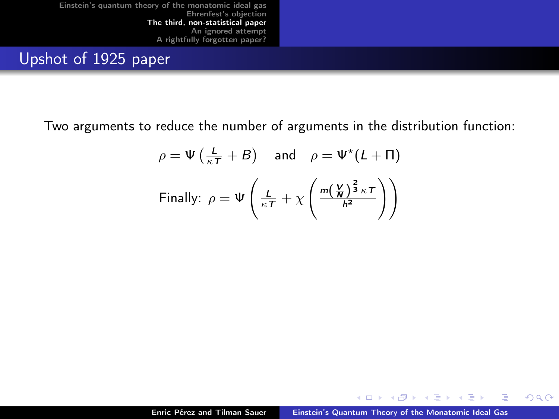Upshot of 1925 paper

Two arguments to reduce the number of arguments in the distribution function:

$$
\rho = \Psi\left(\frac{L}{\kappa T} + B\right) \quad \text{and} \quad \rho = \Psi^{\star}(L + \Pi)
$$
  
Finally: 
$$
\rho = \Psi\left(\frac{L}{\kappa T} + \chi\left(\frac{m\left(\frac{V}{R}\right)^{\frac{2}{3}}\kappa T}{h^2}\right)\right)
$$

4 0 1

 $2Q$ 

Ξ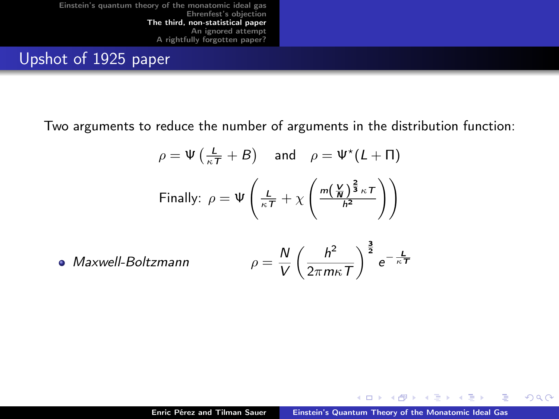Upshot of 1925 paper

Two arguments to reduce the number of arguments in the distribution function:

$$
\rho = \Psi\left(\frac{L}{\kappa T} + B\right) \quad \text{and} \quad \rho = \Psi^{\star}(L + \Pi)
$$
  
Finally: 
$$
\rho = \Psi\left(\frac{L}{\kappa T} + \chi\left(\frac{m\left(\frac{V}{N}\right)^{\frac{2}{3}}\kappa T}{h^2}\right)\right)
$$

• Maxwell-Boltzmann 
$$
\rho = \frac{N}{V} \left( \frac{h^2}{2\pi m \kappa T} \right)^{\frac{3}{2}} e^{-\frac{L}{\kappa T}}
$$

4 0 1

 $2Q$ 

Ξ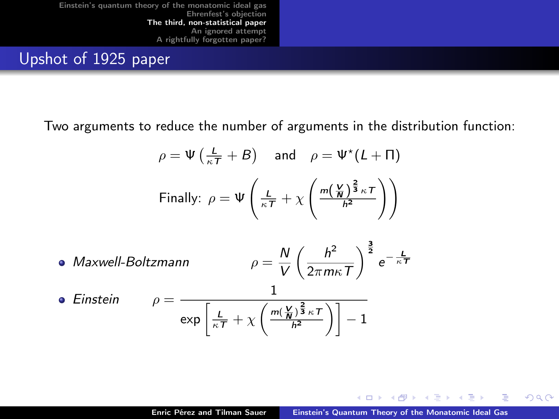Upshot of 1925 paper

Two arguments to reduce the number of arguments in the distribution function:

$$
\rho = \Psi\left(\frac{L}{\kappa T} + B\right) \quad \text{and} \quad \rho = \Psi^{\star}(L + \Pi)
$$
  
Finally: 
$$
\rho = \Psi\left(\frac{L}{\kappa T} + \chi\left(\frac{m\left(\frac{V}{N}\right)^{\frac{2}{3}}\kappa T}{h^2}\right)\right)
$$

• Maxwell-Boltzmann  
\n• Einstein  
\n
$$
\rho = \frac{N}{V} \left( \frac{h^2}{2\pi m\kappa T} \right)^{\frac{3}{2}} e^{-\frac{L}{\kappa T}}
$$
\n• Einstein  
\n
$$
\rho = \frac{1}{\exp\left[\frac{L}{\kappa T} + \chi \left(\frac{m(\frac{V}{N})^{\frac{2}{3}} \kappa T}{h^2}\right)\right] - 1}
$$

4 0 1

 $2Q$ 

∍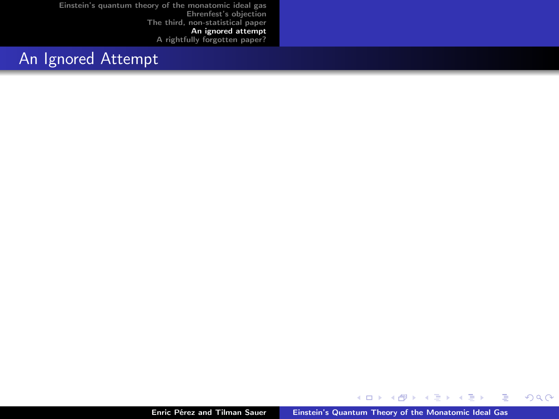## An Ignored Attempt

 $\leftarrow$   $\Box$  $\leftarrow$ 

**B** ÷ × E

÷,

**B** 

<span id="page-33-0"></span> $299$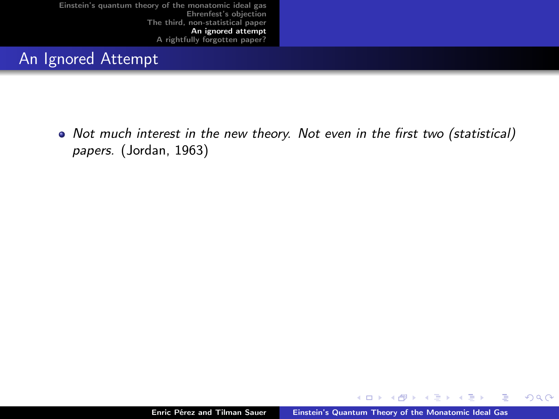## An Ignored Attempt

• Not much interest in the new theory. Not even in the first two (statistical) papers. (Jordan, 1963)

4 0 8

 $2Q$ 

Ξ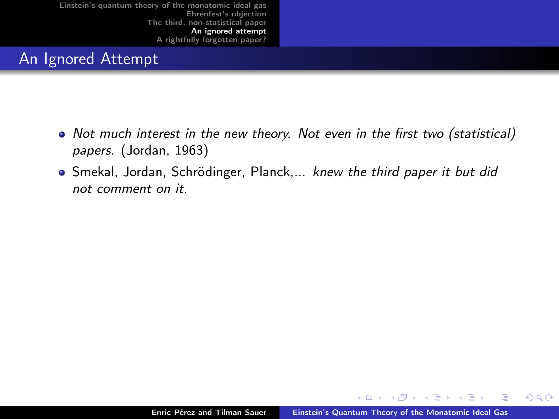### An Ignored Attempt

- Not much interest in the new theory. Not even in the first two (statistical) papers. (Jordan, 1963)
- Smekal, Jordan, Schrödinger, Planck,... knew the third paper it but did not comment on it.

4 0 1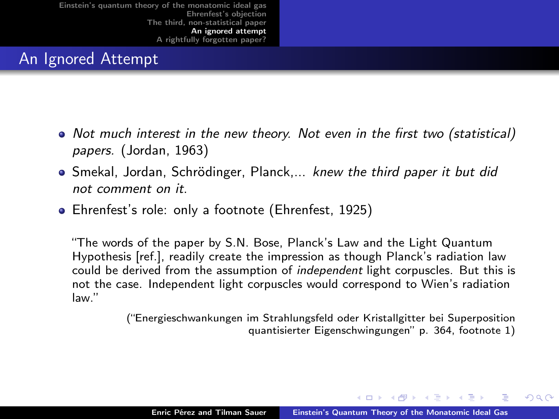### An Ignored Attempt

- Not much interest in the new theory. Not even in the first two (statistical) papers. (Jordan, 1963)
- Smekal, Jordan, Schrödinger, Planck,... knew the third paper it but did not comment on it.
- Ehrenfest's role: only a footnote (Ehrenfest, 1925)

"The words of the paper by S.N. Bose, Planck's Law and the Light Quantum Hypothesis [ref.], readily create the impression as though Planck's radiation law could be derived from the assumption of *independent* light corpuscles. But this is not the case. Independent light corpuscles would correspond to Wien's radiation law."

> <span id="page-36-0"></span>("Energieschwankungen im Strahlungsfeld oder Kristallgitter bei Superposition quantisierter Eigenschwingungen" p. 364, footnote 1)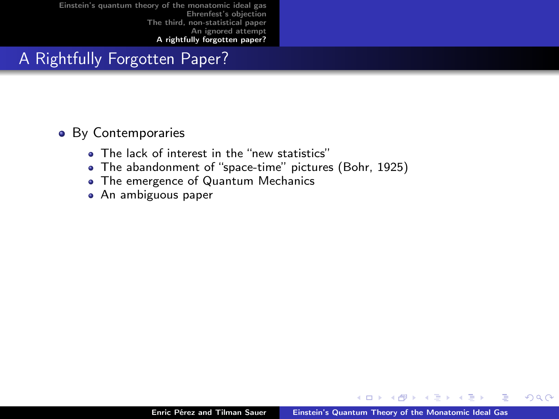# A Rightfully Forgotten Paper?

#### • By Contemporaries

- . The lack of interest in the "new statistics"
- The abandonment of "space-time" pictures (Bohr, 1925)
- The emergence of Quantum Mechanics
- An ambiguous paper

 $\blacksquare$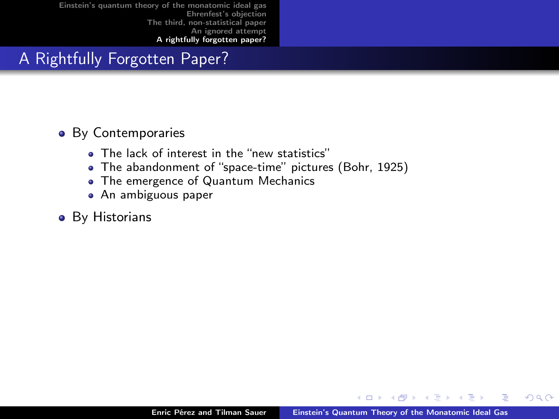# A Rightfully Forgotten Paper?

#### • By Contemporaries

- The lack of interest in the "new statistics"
- The abandonment of "space-time" pictures (Bohr, 1925)
- The emergence of Quantum Mechanics
- An ambiguous paper

#### **•** By Historians

 $\blacksquare$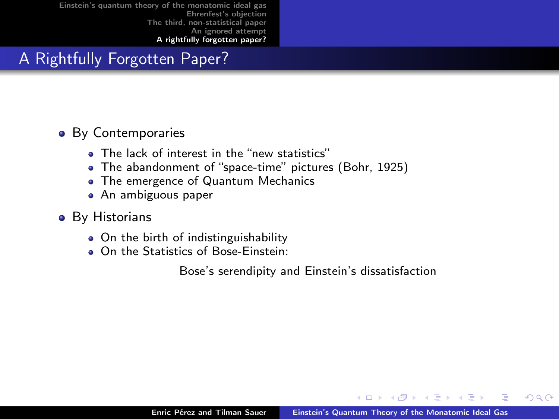# A Rightfully Forgotten Paper?

#### • By Contemporaries

- . The lack of interest in the "new statistics"
- The abandonment of "space-time" pictures (Bohr, 1925)
- The emergence of Quantum Mechanics
- An ambiguous paper
- **•** By Historians
	- On the birth of indistinguishability
	- On the Statistics of Bose-Einstein:

Bose's serendipity and Einstein's dissatisfaction